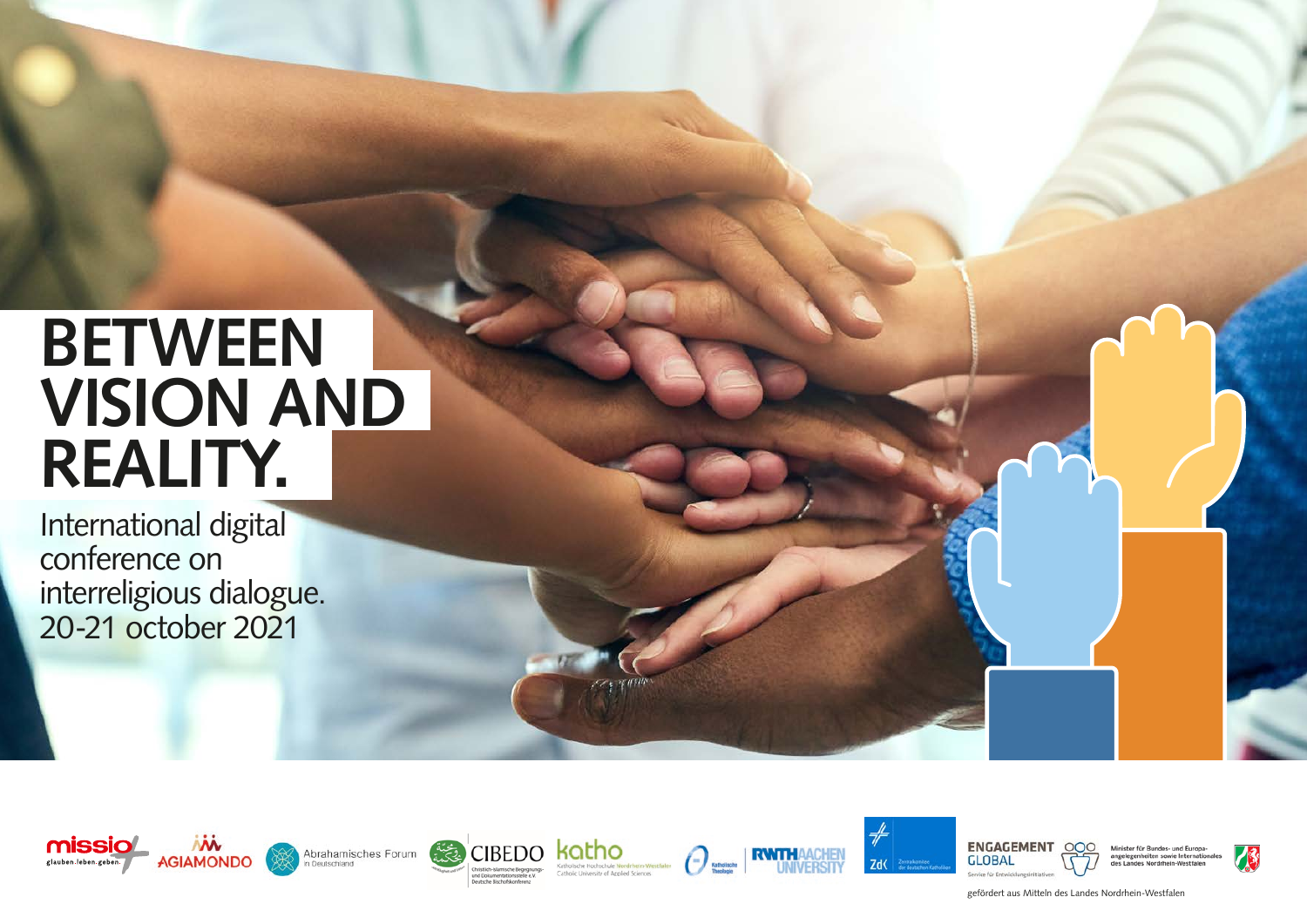# **BETWEEN VISION AND REALITY.**

International digital conference on interreligious dialogue. 20-21 october 2021













Minister für Rundes- und Furo



gefördert aus Mitteln des Landes Nordrhein-Westfalen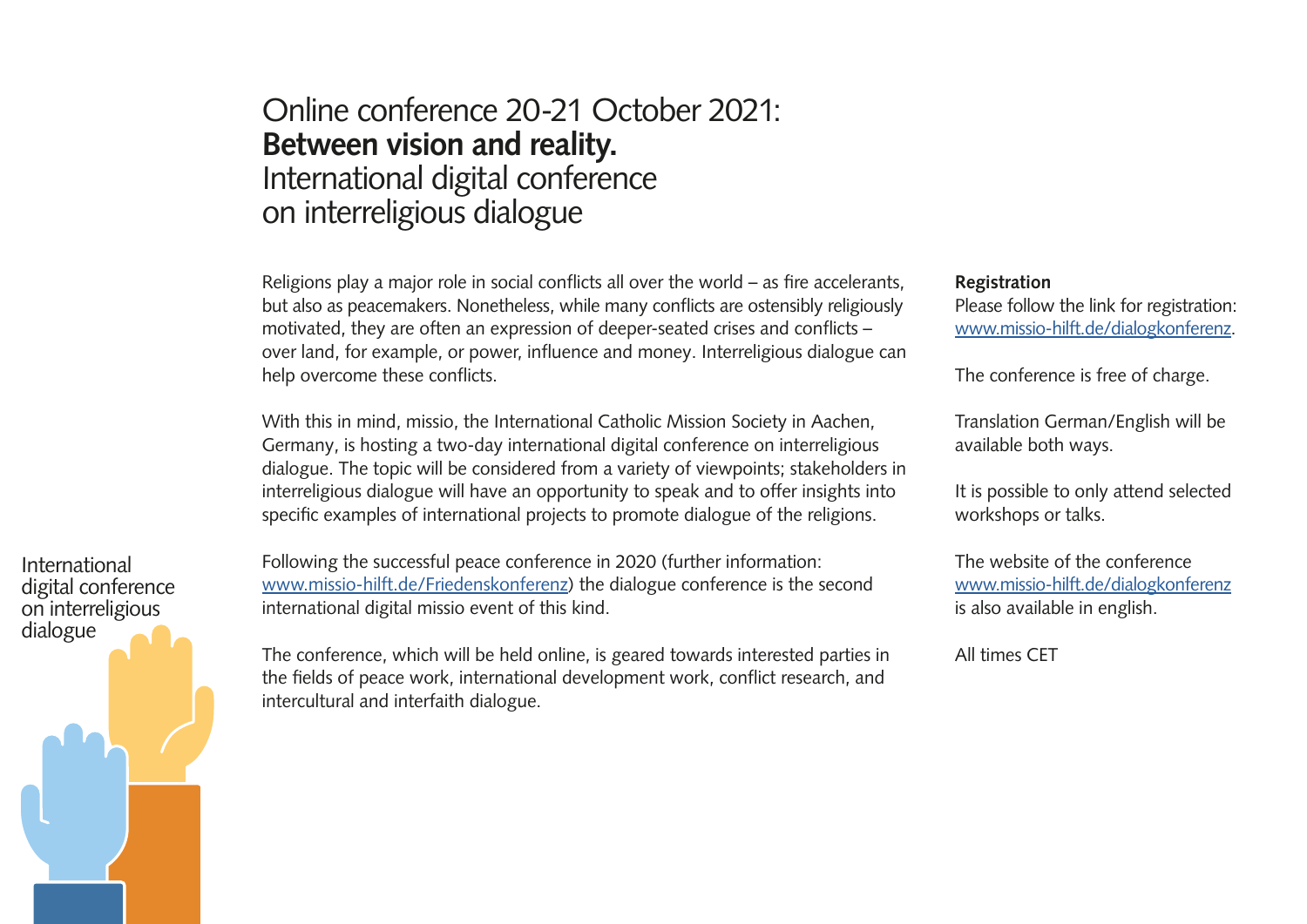# Online conference 20-21 October 2021: **Between vision and reality.**  International digital conference on interreligious dialogue

Religions play a major role in social conflicts all over the world – as fire accelerants, but also as peacemakers. Nonetheless, while many conflicts are ostensibly religiously motivated, they are often an expression of deeper-seated crises and conflicts – over land, for example, or power, influence and money. Interreligious dialogue can help overcome these conflicts.

With this in mind, missio, the International Catholic Mission Society in Aachen, Germany, is hosting a two-day international digital conference on interreligious dialogue. The topic will be considered from a variety of viewpoints; stakeholders in interreligious dialogue will have an opportunity to speak and to offer insights into specific examples of international projects to promote dialogue of the religions.

Following the successful peace conference in 2020 (further information: www.missio-hilft.de/Friedenskonferenz) the dialogue conference is the second international digital missio event of this kind.

The conference, which will be held online, is geared towards interested parties in the fields of peace work, international development work, conflict research, and intercultural and interfaith dialogue.

#### **Registration**

Please follow the link for registration: [www.missio-hilft.de/dialogkonferenz.](http://www.missio-hilft.de/dialogkonferenz)

The conference is free of charge.

Translation German/English will be available both ways.

It is possible to only attend selected workshops or talks.

The website of the conference [www.missio-hilft.de/dialogkonferenz](http://www.missio-hilft.de/dialogkonferenz) is also available in english.

All times CET

digital conference on interreligious dialogue

International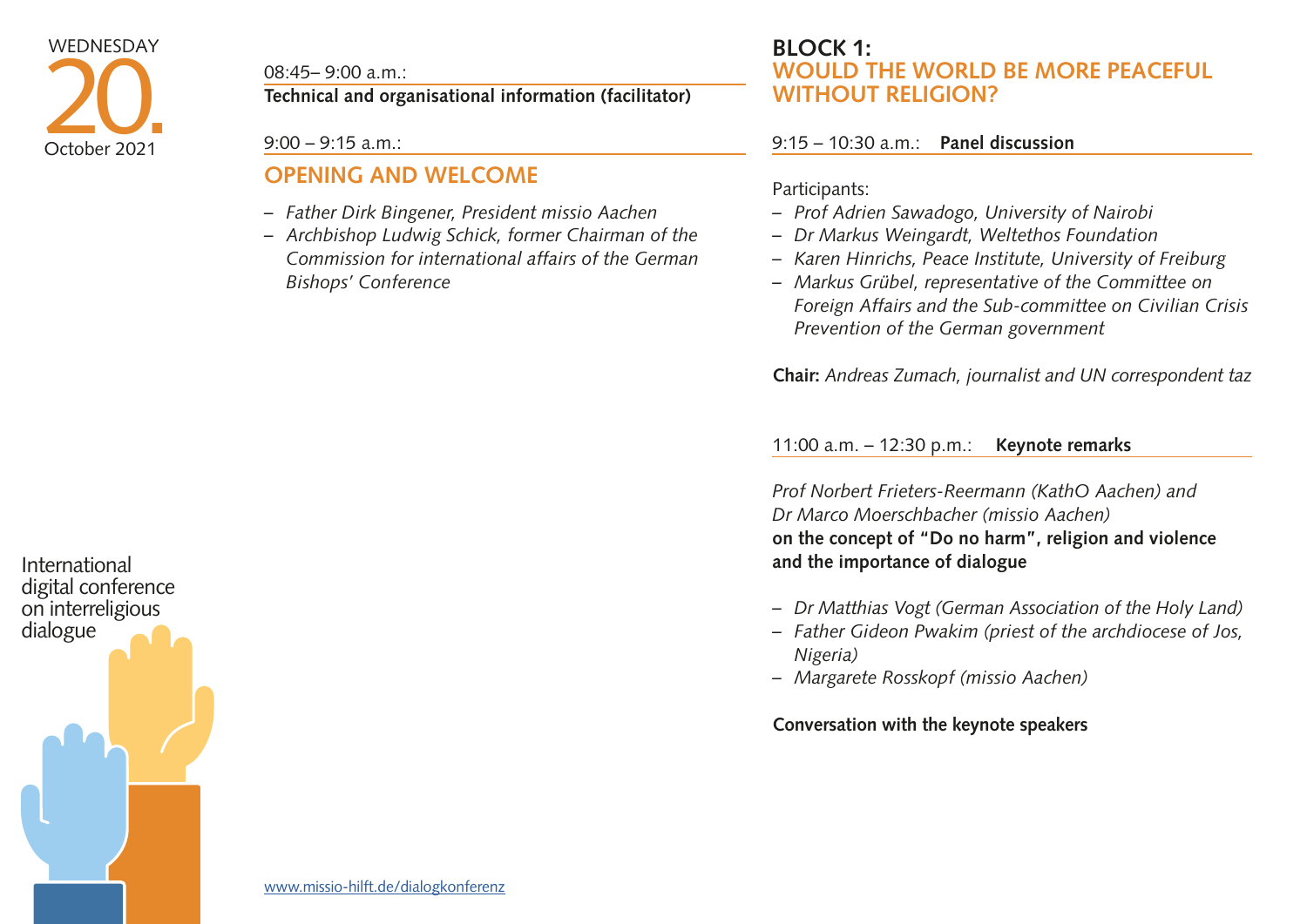08:45– 9:00 a.m.:

**Technical and organisational information (facilitator)**

9:00 – 9:15 a.m.:

## **OPENING AND WELCOME**

- *– Father Dirk Bingener, President missio Aachen*
- *– Archbishop Ludwig Schick, former Chairman of the Commission for international affairs of the German Bishops' Conference*

### **BLOCK 1: WOULD THE WORLD BE MORE PEACEFUL WITHOUT RELIGION?**

#### 9:15 – 10:30 a.m.: **Panel discussion**

Participants:

- *– Prof Adrien Sawadogo, University of Nairobi*
- *– Dr Markus Weingardt, Weltethos Foundation*
- *– Karen Hinrichs, Peace Institute, University of Freiburg*
- *– Markus Grübel, representative of the Committee on Foreign Affairs and the Sub-committee on Civilian Crisis Prevention of the German government*

**Chair:** *Andreas Zumach, journalist and UN correspondent taz* 

11:00 a.m. – 12:30 p.m.: **Keynote remarks** 

*Prof Norbert Frieters-Reermann (KathO Aachen) and Dr Marco Moerschbacher (missio Aachen)*  **on the concept of "Do no harm", religion and violence and the importance of dialogue** 

- *– Dr Matthias Vogt (German Association of the Holy Land)*
- *– Father Gideon Pwakim (priest of the archdiocese of Jos, Nigeria)*
- *– Margarete Rosskopf (missio Aachen)*

#### **Conversation with the keynote speakers**

International digital conference on interreligious dialogue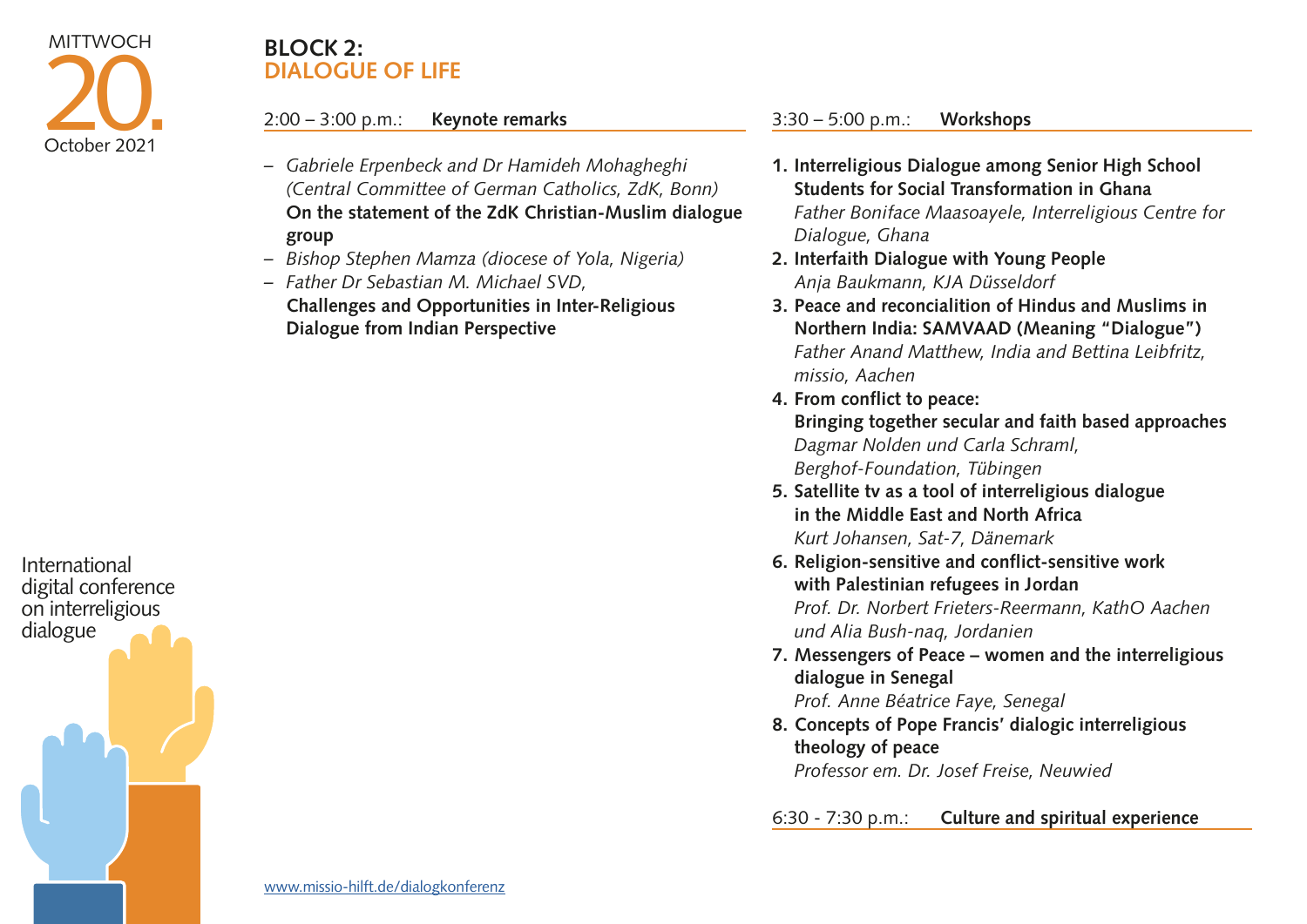

### **BLOCK 2: DIALOGUE OF LIFE**

#### 2:00 – 3:00 p.m.: **Keynote remarks**

- *– Gabriele Erpenbeck and Dr Hamideh Mohagheghi (Central Committee of German Catholics, ZdK, Bonn)*  **On the statement of the ZdK Christian-Muslim dialogue group**
- *– Bishop Stephen Mamza (diocese of Yola, Nigeria)*
- *– Father Dr Sebastian M. Michael SVD,*  **Challenges and Opportunities in Inter-Religious Dialogue from Indian Perspective**

3:30 – 5:00 p.m.: **Workshops**

- **1. Interreligious Dialogue among Senior High School Students for Social Transformation in Ghana**  *Father Boniface Maasoayele, Interreligious Centre for Dialogue, Ghana*
- **2. Interfaith Dialogue with Young People**  *Anja Baukmann, KJA Düsseldorf*
- **3. Peace and reconcialition of Hindus and Muslims in Northern India: SAMVAAD (Meaning "Dialogue")**  *Father Anand Matthew, India and Bettina Leibfritz, missio, Aachen*
- **4. From conflict to peace: Bringing together secular and faith based approaches** *Dagmar Nolden und Carla Schraml, Berghof-Foundation, Tübingen*
- **5. Satellite tv as a tool of interreligious dialogue in the Middle East and North Africa**  *Kurt Johansen, Sat-7, Dänemark*
- **6. Religion-sensitive and conflict-sensitive work with Palestinian refugees in Jordan**  *Prof. Dr. Norbert Frieters-Reermann, KathO Aachen und Alia Bush-naq, Jordanien*
- **7. Messengers of Peace women and the interreligious dialogue in Senegal**  *Prof. Anne Béatrice Faye, Senegal*
- **8. Concepts of Pope Francis' dialogic interreligious theology of peace**  *Professor em. Dr. Josef Freise, Neuwied*

6:30 - 7:30 p.m.: **Culture and spiritual experience**